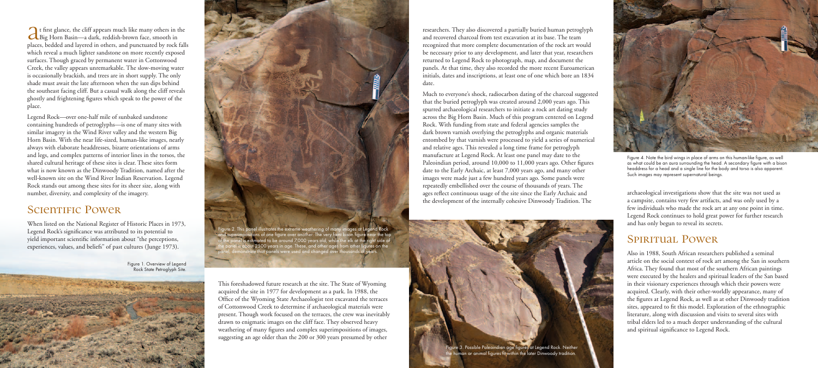This foreshadowed future research at the site. The State of Wyoming acquired the site in 1977 for development as a park. In 1988, the Office of the Wyoming State Archaeologist test excavated the terraces of Cottonwood Creek to determine if archaeological materials were present. Though work focused on the terraces, the crew was inevitably drawn to enigmatic images on the cliff face. They observed heavy weathering of many figures and complex superimpositions of images, suggesting an age older than the 200 or 300 years presumed by other

researchers. They also discovered a partially buried human petroglyph and recovered charcoal from test excavation at its base. The team recognized that more complete documentation of the rock art would be necessary prior to any development, and later that year, researchers returned to Legend Rock to photograph, map, and document the panels. At that time, they also recorded the more recent Euroamerican initials, dates and inscriptions, at least one of one which bore an 1834 date.

Much to everyone's shock, radiocarbon dating of the charcoal suggested that the buried petroglyph was created around 2,000 years ago. This spurred archaeological researchers to initiate a rock art dating study across the Big Horn Basin. Much of this program centered on Legend Rock. With funding from state and federal agencies samples the dark brown varnish overlying the petroglyphs and organic materials entombed by that varnish were processed to yield a series of numerical and relative ages. This revealed a long time frame for petroglyph manufacture at Legend Rock. At least one panel may date to the Paleoindian period, around 10,000 to 11,000 years ago. Other figures date to the Early Archaic, at least 7,000 years ago, and many other images were made just a few hundred years ago. Some panels were repeatedly embellished over the course of thousands of years. The ages reflect continuous usage of the site since the Early Archaic and the development of the internally cohesive Dinwoody Tradition. The

archaeological investigations show that the site was not used as a campsite, contains very few artifacts, and was only used by a few individuals who made the rock art at any one point in time. Legend Rock continues to hold great power for further research and has only begun to reveal its secrets.

## SPIRITUAL POWER

Also in 1988, South African researchers published a seminal article on the social context of rock art among the San in southern Africa. They found that most of the southern African paintings were executed by the healers and spiritual leaders of the San based in their visionary experiences through which their powers were acquired. Clearly, with their other-worldly appearance, many of the figures at Legend Rock, as well as at other Dinwoody tradition sites, appeared to fit this model. Exploration of the ethnographic literature, along with discussion and visits to several sites with tribal elders led to a much deeper understanding of the cultural and spiritual significance to Legend Rock.

rre 2. This panel illustrates the extreme weathering o<u>f many images at Legend Rock</u> and superimpositions of one figure over another. The very faint bison figure near the top of the panel is estimated to be around 7,000 years old, while the elk at the right side of the panel is about 2500 years in age. These, and other ages from other figures on the panel, demonstrate that panels were used and changed over thousands of years.

At first glance, the cliff appears much like many others in the Big Horn Basin—a dark, reddish-brown face, smooth in places, bedded and layered in others, and punctuated by rock falls which reveal a much lighter sandstone on more recently exposed surfaces. Though graced by permanent water in Cottonwood Creek, the valley appears unremarkable. The slow-moving water is occasionally brackish, and trees are in short supply. The only shade must await the late afternoon when the sun dips behind the southeast facing cliff. But a casual walk along the cliff reveals ghostly and frightening figures which speak to the power of the place.

Legend Rock—over one-half mile of sunbaked sandstone containing hundreds of petroglyphs—is one of many sites with similar imagery in the Wind River valley and the western Big Horn Basin. With the near life-sized, human-like images, nearly always with elaborate headdresses, bizarre orientations of arms and legs, and complex patterns of interior lines in the torsos, the shared cultural heritage of these sites is clear. These sites form what is now known as the Dinwoody Tradition, named after the well-known site on the Wind River Indian Reservation. Legend Rock stands out among these sites for its sheer size, along with number, diversity, and complexity of the imagery.

## **SCIENTIFIC POWER**

When listed on the National Register of Historic Places in 1973, Legend Rock's significance was attributed to its potential to yield important scientific information about "the perceptions, experiences, values, and beliefs" of past cultures (Junge 1973).

> Figure 1. Overview of Legend Rock State Petroglyph Site.







Figure 4. Note the bird wings in place of arms on this human-like figure, as well as what could be an aura surrounding the head. A secondary figure with a bison headdress for a head and a single line for the body and torso is also apparent. Such images may represent supernatural beings.